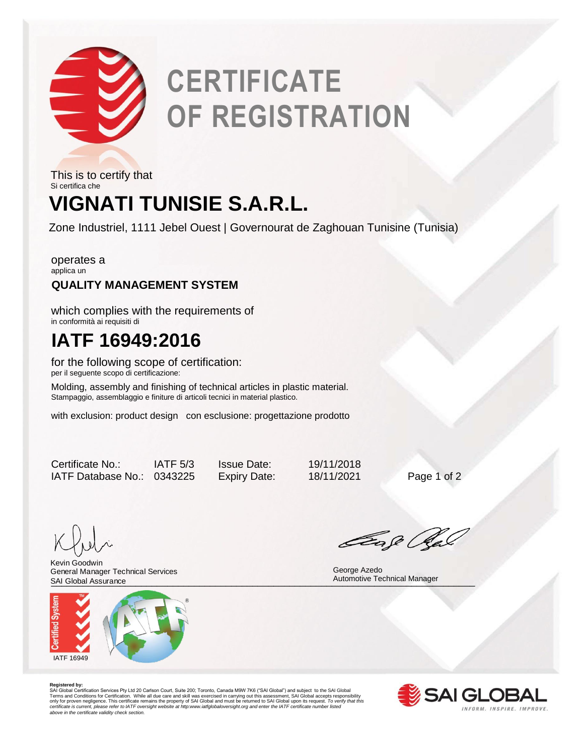

# **CERTIFICATE OF REGISTRATION**

## **VIGNATI TUNISIE S.A.R.L.** This is to certify that Si certifica che

Zone Industriel, 1111 Jebel Ouest | Governourat de Zaghouan Tunisine (Tunisia)

operates a applica un

### **QUALITY MANAGEMENT SYSTEM**

which complies with the requirements of in conformità ai requisiti di

## **IATF 16949:2016**

for the following scope of certification: per il seguente scopo di certificazione:

Molding, assembly and finishing of technical articles in plastic material. Stampaggio, assemblaggio e finiture di articoli tecnici in material plastico.

with exclusion: product design con esclusione: progettazione prodotto

Certificate No.: IATF 5/3 Issue Date: 19/11/2018 IATF Database No.: 0343225 Expiry Date: 18/11/2021 Page 1 of 2

SAI Global Assurance **Exercía Contra a Contra a Contra a Contra a Contra a Contra a Contra a Contra a Contra a Co** Kevin Goodwin General Manager Technical Services



Eage Ra

 George Azedo Automotive Technical Manager

**Registered by:**<br>SAI Global Certification Services Pty Ltd 20 Carlson Court, Suite 200; Toronto, Canada M9W 7K6 ("SAI Global") and subject to the SAI Global<br>Terms and Conditions for Certification. While all due care and sk *certificate is current, please refer to IATF oversight website at http:www.iatfglobaloversight.org and enter the IATF certificate number listed above in the certificate validity check section.*